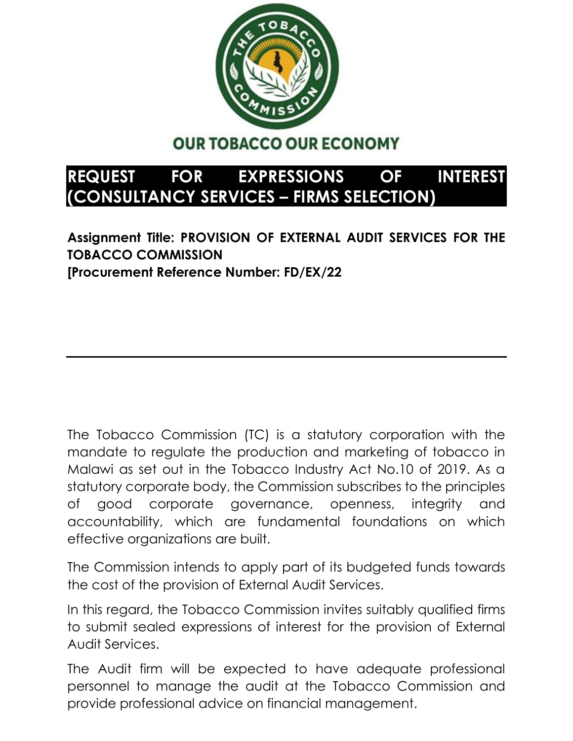

## **OUR TOBACCO OUR ECONOMY**

## **REQUEST FOR EXPRESSIONS OF INTEREST (CONSULTANCY SERVICES – FIRMS SELECTION)**

**Assignment Title: PROVISION OF EXTERNAL AUDIT SERVICES FOR THE TOBACCO COMMISSION [Procurement Reference Number: FD/EX/22**

The Tobacco Commission (TC) is a statutory corporation with the mandate to regulate the production and marketing of tobacco in Malawi as set out in the Tobacco Industry Act No.10 of 2019. As a statutory corporate body, the Commission subscribes to the principles of good corporate governance, openness, integrity and accountability, which are fundamental foundations on which effective organizations are built.

The Commission intends to apply part of its budgeted funds towards the cost of the provision of External Audit Services.

In this regard, the Tobacco Commission invites suitably qualified firms to submit sealed expressions of interest for the provision of External Audit Services.

The Audit firm will be expected to have adequate professional personnel to manage the audit at the Tobacco Commission and provide professional advice on financial management.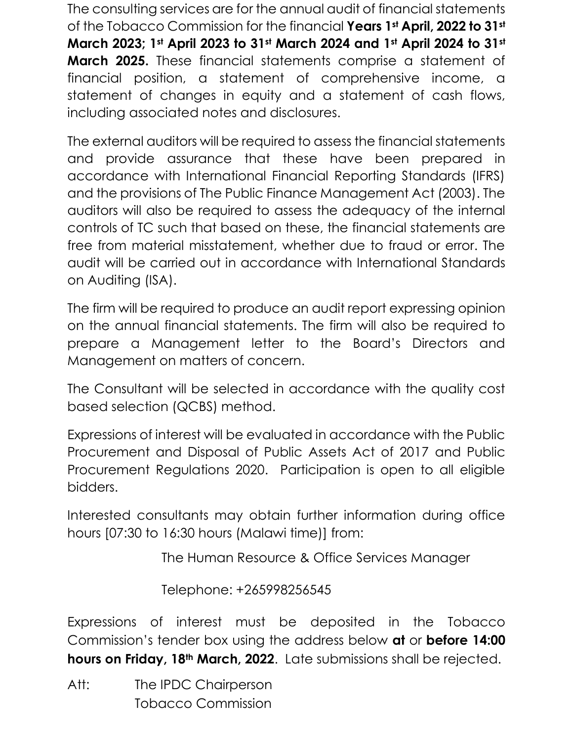The consulting services are for the annual audit of financial statements of the Tobacco Commission for the financial **Years 1st April, 2022 to 31st March 2023; 1st April 2023 to 31st March 2024 and 1st April 2024 to 31st March 2025.** These financial statements comprise a statement of financial position, a statement of comprehensive income, a statement of changes in equity and a statement of cash flows, including associated notes and disclosures.

The external auditors will be required to assess the financial statements and provide assurance that these have been prepared in accordance with International Financial Reporting Standards (IFRS) and the provisions of The Public Finance Management Act (2003). The auditors will also be required to assess the adequacy of the internal controls of TC such that based on these, the financial statements are free from material misstatement, whether due to fraud or error. The audit will be carried out in accordance with International Standards on Auditing (ISA).

The firm will be required to produce an audit report expressing opinion on the annual financial statements. The firm will also be required to prepare a Management letter to the Board's Directors and Management on matters of concern.

The Consultant will be selected in accordance with the quality cost based selection (QCBS) method.

Expressions of interest will be evaluated in accordance with the Public Procurement and Disposal of Public Assets Act of 2017 and Public Procurement Regulations 2020. Participation is open to all eligible bidders.

Interested consultants may obtain further information during office hours [07:30 to 16:30 hours (Malawi time)] from:

The Human Resource & Office Services Manager

Telephone: +265998256545

Expressions of interest must be deposited in the Tobacco Commission's tender box using the address below **at** or **before 14:00 hours on Friday, 18th March, 2022**. Late submissions shall be rejected.

Att: The IPDC Chairperson Tobacco Commission